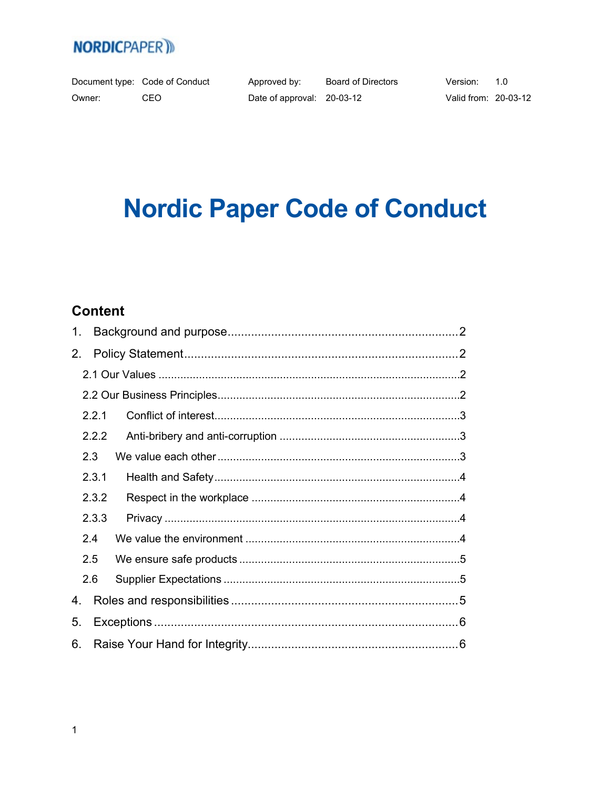Document type: Code of Conduct Owner: CEO

Approved by:

Board of Directors Date of approval: 20-03-12

Version:  $1.0$ Valid from: 20-03-12

# **Nordic Paper Code of Conduct**

## **Content**

| $1_{\cdot}$ |       |  |
|-------------|-------|--|
| 2.          |       |  |
|             |       |  |
|             |       |  |
|             | 2.2.1 |  |
|             | 2.2.2 |  |
| 2.3         |       |  |
|             | 2.3.1 |  |
|             | 2.3.2 |  |
|             | 2.3.3 |  |
| 2.4         |       |  |
| 2.5         |       |  |
| 2.6         |       |  |
| 4.          |       |  |
| 5.          |       |  |
| 6.          |       |  |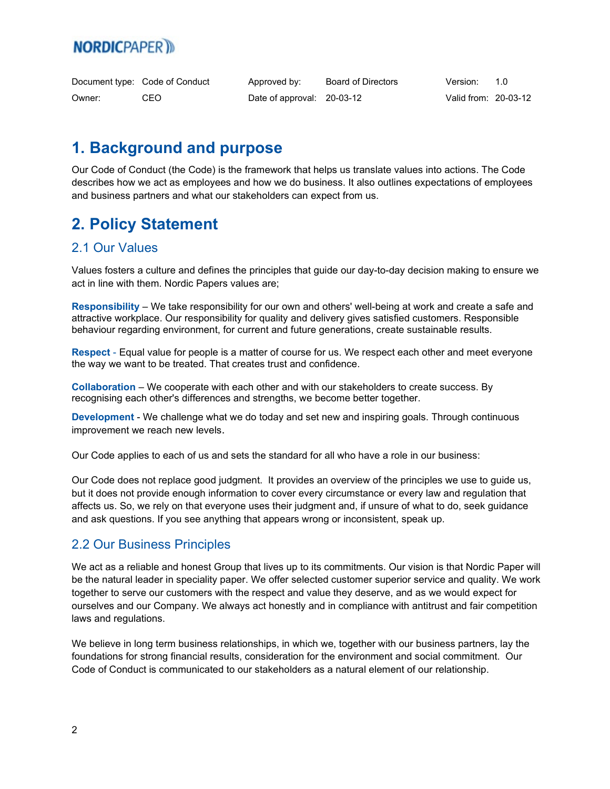|        | Document type: Code of Conduct | Approved by:               | Board of Directors | Version:             | - 10 |
|--------|--------------------------------|----------------------------|--------------------|----------------------|------|
| Owner: | CEO.                           | Date of approval: 20-03-12 |                    | Valid from: 20-03-12 |      |

## <span id="page-1-0"></span>**1. Background and purpose**

Our Code of Conduct (the Code) is the framework that helps us translate values into actions. The Code describes how we act as employees and how we do business. It also outlines expectations of employees and business partners and what our stakeholders can expect from us.

## <span id="page-1-1"></span>**2. Policy Statement**

#### <span id="page-1-2"></span>2.1 Our Values

Values fosters a culture and defines the principles that guide our day-to-day decision making to ensure we act in line with them. Nordic Papers values are;

**Responsibility** – We take responsibility for our own and others' well-being at work and create a safe and attractive workplace. Our responsibility for quality and delivery gives satisfied customers. Responsible behaviour regarding environment, for current and future generations, create sustainable results.

**Respect** - Equal value for people is a matter of course for us. We respect each other and meet everyone the way we want to be treated. That creates trust and confidence.

**Collaboration** – We cooperate with each other and with our stakeholders to create success. By recognising each other's differences and strengths, we become better together.

**Development** - We challenge what we do today and set new and inspiring goals. Through continuous improvement we reach new levels.

Our Code applies to each of us and sets the standard for all who have a role in our business:

Our Code does not replace good judgment. It provides an overview of the principles we use to guide us, but it does not provide enough information to cover every circumstance or every law and regulation that affects us. So, we rely on that everyone uses their judgment and, if unsure of what to do, seek guidance and ask questions. If you see anything that appears wrong or inconsistent, speak up.

#### <span id="page-1-3"></span>2.2 Our Business Principles

We act as a reliable and honest Group that lives up to its commitments. Our vision is that Nordic Paper will be the natural leader in speciality paper. We offer selected customer superior service and quality. We work together to serve our customers with the respect and value they deserve, and as we would expect for ourselves and our Company. We always act honestly and in compliance with antitrust and fair competition laws and regulations.

We believe in long term business relationships, in which we, together with our business partners, lay the foundations for strong financial results, consideration for the environment and social commitment. Our Code of Conduct is communicated to our stakeholders as a natural element of our relationship.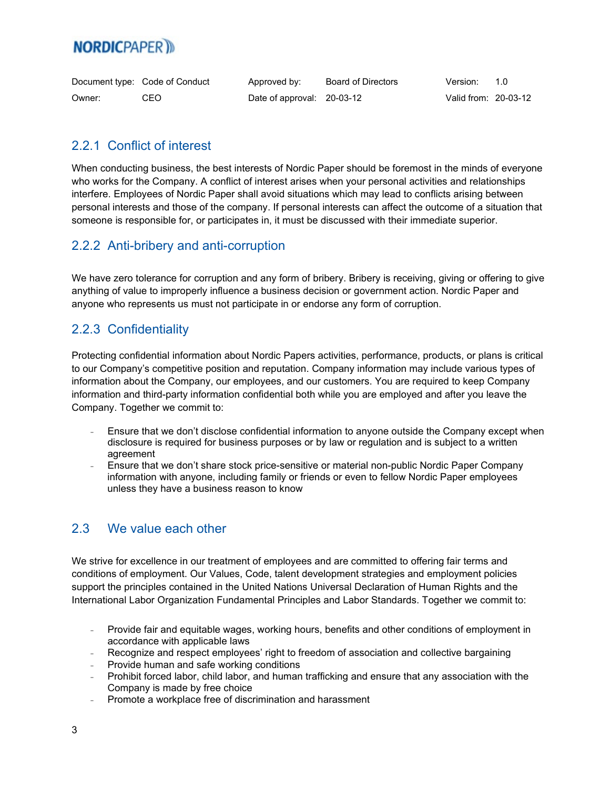|        | Document type: Code of Conduct | Approved by:               | Board of Directors | Version:             | 1 O |
|--------|--------------------------------|----------------------------|--------------------|----------------------|-----|
| Owner: | CEO                            | Date of approval: 20-03-12 |                    | Valid from: 20-03-12 |     |

#### <span id="page-2-0"></span>2.2.1 Conflict of interest

When conducting business, the best interests of Nordic Paper should be foremost in the minds of everyone who works for the Company. A conflict of interest arises when your personal activities and relationships interfere. Employees of Nordic Paper shall avoid situations which may lead to conflicts arising between personal interests and those of the company. If personal interests can affect the outcome of a situation that someone is responsible for, or participates in, it must be discussed with their immediate superior.

#### <span id="page-2-1"></span>2.2.2 Anti-bribery and anti-corruption

We have zero tolerance for corruption and any form of bribery. Bribery is receiving, giving or offering to give anything of value to improperly influence a business decision or government action. Nordic Paper and anyone who represents us must not participate in or endorse any form of corruption.

#### 2.2.3 Confidentiality

Protecting confidential information about Nordic Papers activities, performance, products, or plans is critical to our Company's competitive position and reputation. Company information may include various types of information about the Company, our employees, and our customers. You are required to keep Company information and third-party information confidential both while you are employed and after you leave the Company. Together we commit to:

- Ensure that we don't disclose confidential information to anyone outside the Company except when disclosure is required for business purposes or by law or regulation and is subject to a written agreement
- Ensure that we don't share stock price-sensitive or material non-public Nordic Paper Company information with anyone, including family or friends or even to fellow Nordic Paper employees unless they have a business reason to know

#### <span id="page-2-2"></span>2.3 We value each other

We strive for excellence in our treatment of employees and are committed to offering fair terms and conditions of employment. Our Values, Code, talent development strategies and employment policies support the principles contained in the United Nations Universal Declaration of Human Rights and the International Labor Organization Fundamental Principles and Labor Standards. Together we commit to:

- Provide fair and equitable wages, working hours, benefits and other conditions of employment in accordance with applicable laws
- Recognize and respect employees' right to freedom of association and collective bargaining
- Provide human and safe working conditions
- Prohibit forced labor, child labor, and human trafficking and ensure that any association with the Company is made by free choice
- Promote a workplace free of discrimination and harassment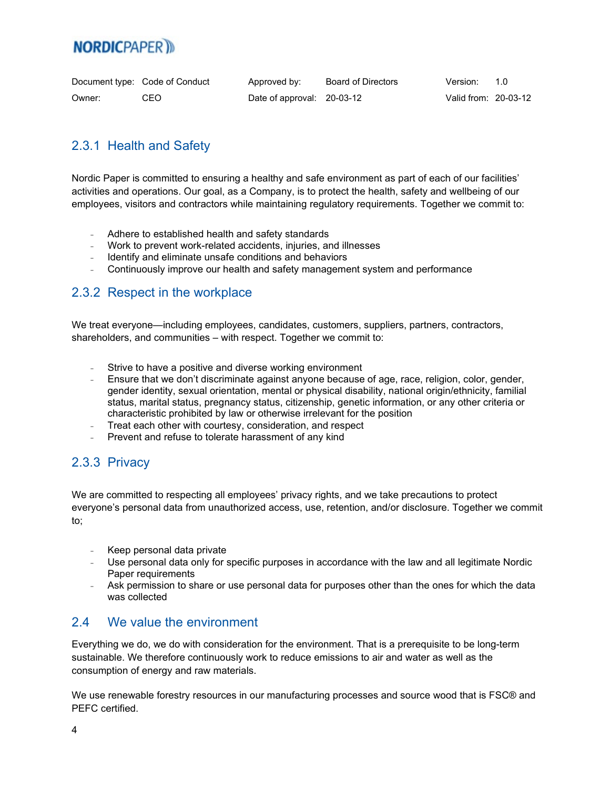|        | Document type: Code of Conduct | Approved by:               | Board of Directors | Version:             | - 1 N |
|--------|--------------------------------|----------------------------|--------------------|----------------------|-------|
| Owner: | CEO                            | Date of approval: 20-03-12 |                    | Valid from: 20-03-12 |       |

#### <span id="page-3-0"></span>2.3.1 Health and Safety

Nordic Paper is committed to ensuring a healthy and safe environment as part of each of our facilities' activities and operations. Our goal, as a Company, is to protect the health, safety and wellbeing of our employees, visitors and contractors while maintaining regulatory requirements. Together we commit to:

- Adhere to established health and safety standards
- Work to prevent work-related accidents, injuries, and illnesses
- Identify and eliminate unsafe conditions and behaviors
- Continuously improve our health and safety management system and performance

#### <span id="page-3-1"></span>2.3.2 Respect in the workplace

We treat everyone—including employees, candidates, customers, suppliers, partners, contractors, shareholders, and communities – with respect. Together we commit to:

- Strive to have a positive and diverse working environment
- Ensure that we don't discriminate against anyone because of age, race, religion, color, gender, gender identity, sexual orientation, mental or physical disability, national origin/ethnicity, familial status, marital status, pregnancy status, citizenship, genetic information, or any other criteria or characteristic prohibited by law or otherwise irrelevant for the position
- Treat each other with courtesy, consideration, and respect
- Prevent and refuse to tolerate harassment of any kind

#### <span id="page-3-2"></span>2.3.3 Privacy

We are committed to respecting all employees' privacy rights, and we take precautions to protect everyone's personal data from unauthorized access, use, retention, and/or disclosure. Together we commit to;

- Keep personal data private
- Use personal data only for specific purposes in accordance with the law and all legitimate Nordic Paper requirements
- Ask permission to share or use personal data for purposes other than the ones for which the data was collected

#### <span id="page-3-3"></span>2.4 We value the environment

Everything we do, we do with consideration for the environment. That is a prerequisite to be long-term sustainable. We therefore continuously work to reduce emissions to air and water as well as the consumption of energy and raw materials.

We use renewable forestry resources in our manufacturing processes and source wood that is FSC® and PEFC certified.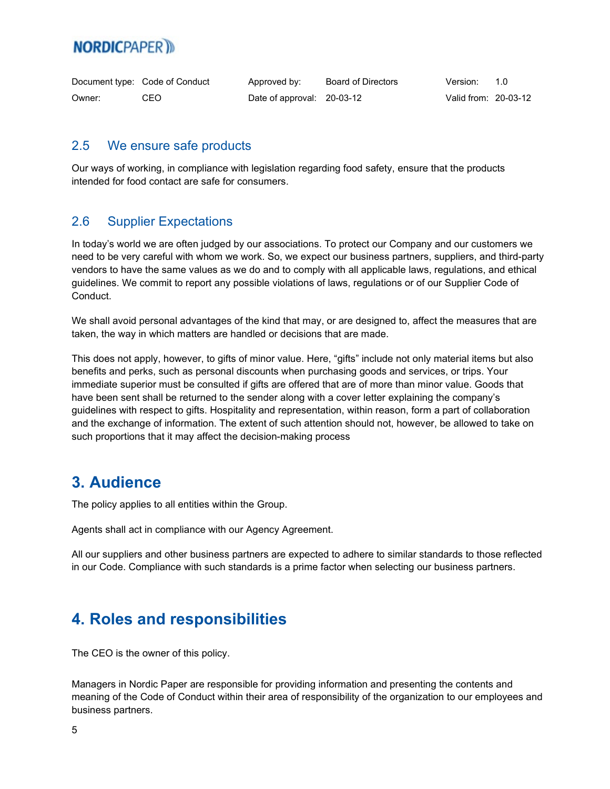|        | Document type: Code of Conduct | Approved by:               | Board of Directors | Version:             | 1 O |
|--------|--------------------------------|----------------------------|--------------------|----------------------|-----|
| Owner: | CEO                            | Date of approval: 20-03-12 |                    | Valid from: 20-03-12 |     |

#### <span id="page-4-0"></span>2.5 We ensure safe products

Our ways of working, in compliance with legislation regarding food safety, ensure that the products intended for food contact are safe for consumers.

#### <span id="page-4-1"></span>2.6 Supplier Expectations

In today's world we are often judged by our associations. To protect our Company and our customers we need to be very careful with whom we work. So, we expect our business partners, suppliers, and third-party vendors to have the same values as we do and to comply with all applicable laws, regulations, and ethical guidelines. We commit to report any possible violations of laws, regulations or of our Supplier Code of Conduct.

We shall avoid personal advantages of the kind that may, or are designed to, affect the measures that are taken, the way in which matters are handled or decisions that are made.

This does not apply, however, to gifts of minor value. Here, "gifts" include not only material items but also benefits and perks, such as personal discounts when purchasing goods and services, or trips. Your immediate superior must be consulted if gifts are offered that are of more than minor value. Goods that have been sent shall be returned to the sender along with a cover letter explaining the company's guidelines with respect to gifts. Hospitality and representation, within reason, form a part of collaboration and the exchange of information. The extent of such attention should not, however, be allowed to take on such proportions that it may affect the decision-making process

## **3. Audience**

The policy applies to all entities within the Group.

Agents shall act in compliance with our Agency Agreement.

All our suppliers and other business partners are expected to adhere to similar standards to those reflected in our Code. Compliance with such standards is a prime factor when selecting our business partners.

## <span id="page-4-2"></span>**4. Roles and responsibilities**

The CEO is the owner of this policy.

Managers in Nordic Paper are responsible for providing information and presenting the contents and meaning of the Code of Conduct within their area of responsibility of the organization to our employees and business partners.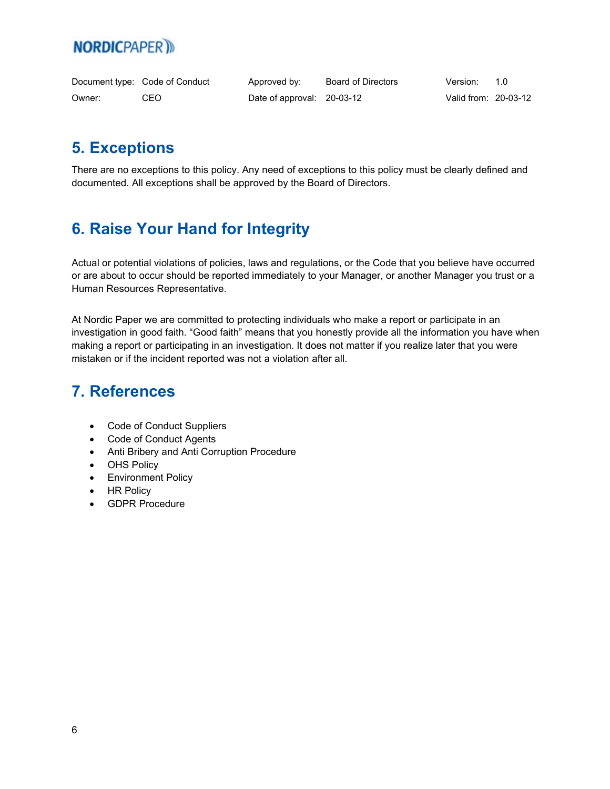|        | Document type: Code of Conduct | Approved by:               | Board of Directors | Version:             | 1 N |
|--------|--------------------------------|----------------------------|--------------------|----------------------|-----|
| Owner: | CEO                            | Date of approval: 20-03-12 |                    | Valid from: 20-03-12 |     |

# <span id="page-5-0"></span>**5. Exceptions**

There are no exceptions to this policy. Any need of exceptions to this policy must be clearly defined and documented. All exceptions shall be approved by the Board of Directors.

## <span id="page-5-1"></span>**6. Raise Your Hand for Integrity**

Actual or potential violations of policies, laws and regulations, or the Code that you believe have occurred or are about to occur should be reported immediately to your Manager, or another Manager you trust or a Human Resources Representative.

At Nordic Paper we are committed to protecting individuals who make a report or participate in an investigation in good faith. "Good faith" means that you honestly provide all the information you have when making a report or participating in an investigation. It does not matter if you realize later that you were mistaken or if the incident reported was not a violation after all.

## **7. References**

- Code of Conduct Suppliers
- Code of Conduct Agents
- Anti Bribery and Anti Corruption Procedure
- OHS Policy
- Environment Policy
- HR Policy
- GDPR Procedure